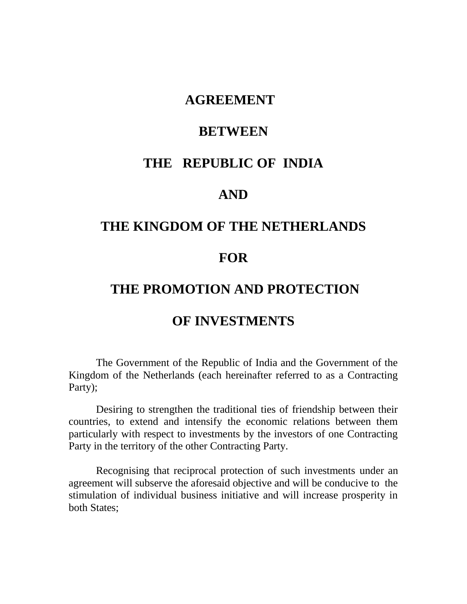## **AGREEMENT**

## **BETWEEN**

## **THE REPUBLIC OF INDIA**

## **AND**

# **THE KINGDOM OF THE NETHERLANDS**

# **FOR**

# **THE PROMOTION AND PROTECTION**

## **OF INVESTMENTS**

The Government of the Republic of India and the Government of the Kingdom of the Netherlands (each hereinafter referred to as a Contracting Party);

Desiring to strengthen the traditional ties of friendship between their countries, to extend and intensify the economic relations between them particularly with respect to investments by the investors of one Contracting Party in the territory of the other Contracting Party.

Recognising that reciprocal protection of such investments under an agreement will subserve the aforesaid objective and will be conducive to the stimulation of individual business initiative and will increase prosperity in both States;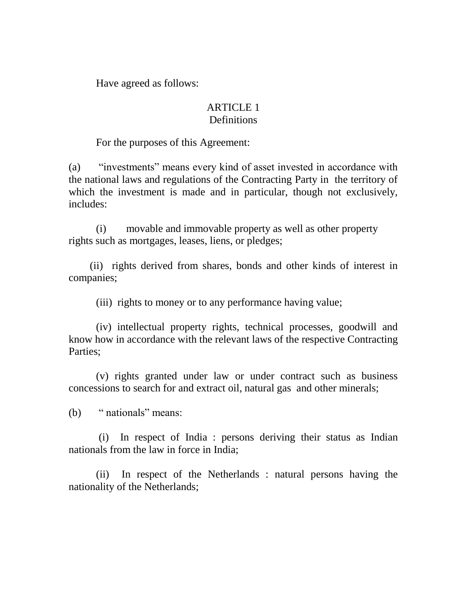Have agreed as follows:

## ARTICLE 1 Definitions

For the purposes of this Agreement:

(a) "investments" means every kind of asset invested in accordance with the national laws and regulations of the Contracting Party in the territory of which the investment is made and in particular, though not exclusively, includes:

(i) movable and immovable property as well as other property rights such as mortgages, leases, liens, or pledges;

 (ii) rights derived from shares, bonds and other kinds of interest in companies;

(iii) rights to money or to any performance having value;

(iv) intellectual property rights, technical processes, goodwill and know how in accordance with the relevant laws of the respective Contracting Parties;

(v) rights granted under law or under contract such as business concessions to search for and extract oil, natural gas and other minerals;

(b) " nationals" means:

(i) In respect of India : persons deriving their status as Indian nationals from the law in force in India;

(ii) In respect of the Netherlands : natural persons having the nationality of the Netherlands;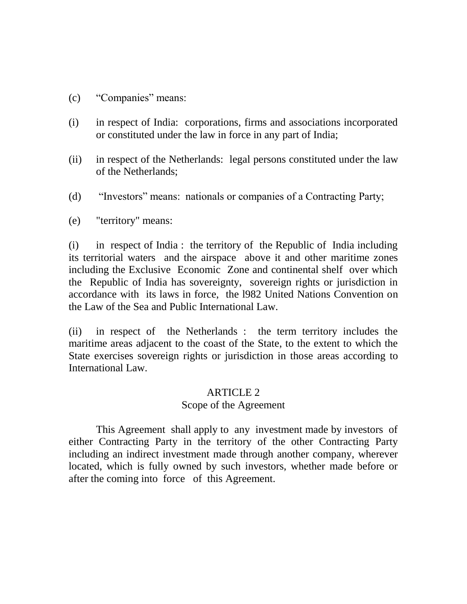- (c) "Companies" means:
- (i) in respect of India: corporations, firms and associations incorporated or constituted under the law in force in any part of India;
- (ii) in respect of the Netherlands: legal persons constituted under the law of the Netherlands;
- (d) "Investors" means: nationals or companies of a Contracting Party;
- (e) "territory" means:

(i) in respect of India : the territory of the Republic of India including its territorial waters and the airspace above it and other maritime zones including the Exclusive Economic Zone and continental shelf over which the Republic of India has sovereignty, sovereign rights or jurisdiction in accordance with its laws in force, the l982 United Nations Convention on the Law of the Sea and Public International Law.

(ii) in respect of the Netherlands : the term territory includes the maritime areas adjacent to the coast of the State, to the extent to which the State exercises sovereign rights or jurisdiction in those areas according to International Law.

### ARTICLE 2

### Scope of the Agreement

This Agreement shall apply to any investment made by investors of either Contracting Party in the territory of the other Contracting Party including an indirect investment made through another company, wherever located, which is fully owned by such investors, whether made before or after the coming into force of this Agreement.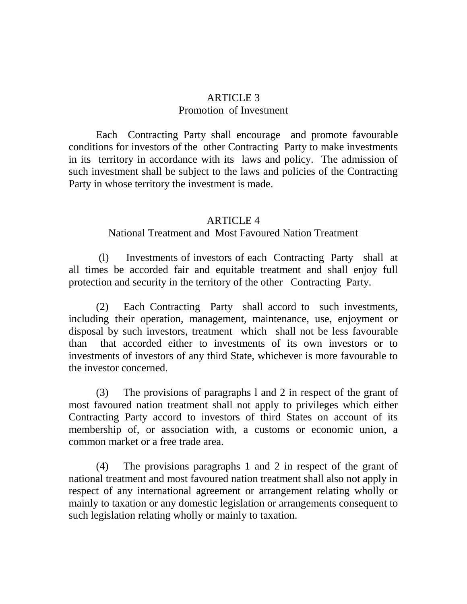## ARTICLE 3 Promotion of Investment

Each Contracting Party shall encourage and promote favourable conditions for investors of the other Contracting Party to make investments in its territory in accordance with its laws and policy. The admission of such investment shall be subject to the laws and policies of the Contracting Party in whose territory the investment is made.

## ARTICLE 4

### National Treatment and Most Favoured Nation Treatment

(l) Investments of investors of each Contracting Party shall at all times be accorded fair and equitable treatment and shall enjoy full protection and security in the territory of the other Contracting Party.

(2) Each Contracting Party shall accord to such investments, including their operation, management, maintenance, use, enjoyment or disposal by such investors, treatment which shall not be less favourable than that accorded either to investments of its own investors or to investments of investors of any third State, whichever is more favourable to the investor concerned.

(3) The provisions of paragraphs l and 2 in respect of the grant of most favoured nation treatment shall not apply to privileges which either Contracting Party accord to investors of third States on account of its membership of, or association with, a customs or economic union, a common market or a free trade area.

(4) The provisions paragraphs 1 and 2 in respect of the grant of national treatment and most favoured nation treatment shall also not apply in respect of any international agreement or arrangement relating wholly or mainly to taxation or any domestic legislation or arrangements consequent to such legislation relating wholly or mainly to taxation.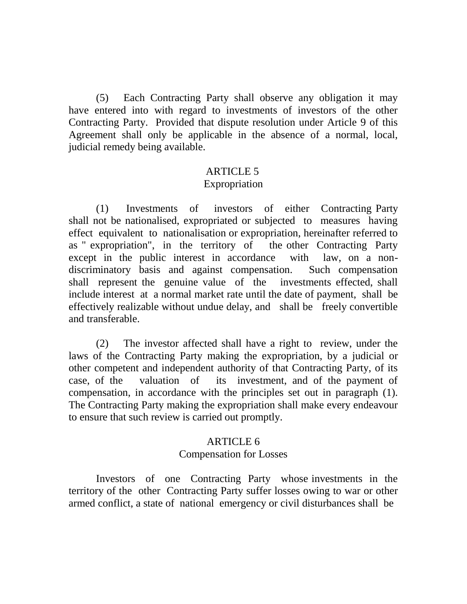(5) Each Contracting Party shall observe any obligation it may have entered into with regard to investments of investors of the other Contracting Party. Provided that dispute resolution under Article 9 of this Agreement shall only be applicable in the absence of a normal, local, judicial remedy being available.

#### ARTICLE 5

### Expropriation

(1) Investments of investors of either Contracting Party shall not be nationalised, expropriated or subjected to measures having effect equivalent to nationalisation or expropriation, hereinafter referred to as " expropriation", in the territory of the other Contracting Party except in the public interest in accordance with law, on a nondiscriminatory basis and against compensation. Such compensation shall represent the genuine value of the investments effected, shall include interest at a normal market rate until the date of payment, shall be effectively realizable without undue delay, and shall be freely convertible and transferable.

(2) The investor affected shall have a right to review, under the laws of the Contracting Party making the expropriation, by a judicial or other competent and independent authority of that Contracting Party, of its case, of the valuation of its investment, and of the payment of compensation, in accordance with the principles set out in paragraph (1). The Contracting Party making the expropriation shall make every endeavour to ensure that such review is carried out promptly.

### ARTICLE 6

#### Compensation for Losses

Investors of one Contracting Party whose investments in the territory of the other Contracting Party suffer losses owing to war or other armed conflict, a state of national emergency or civil disturbances shall be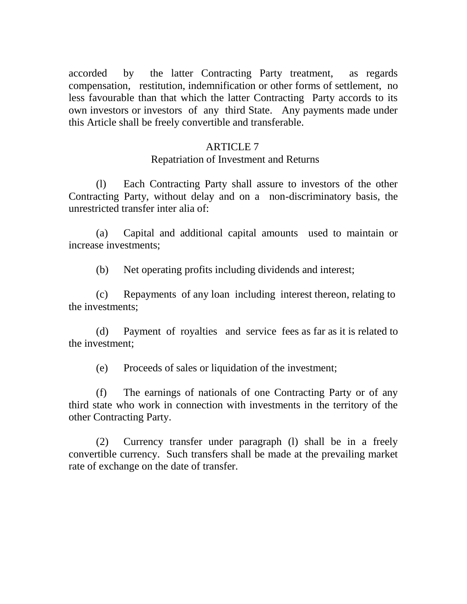accorded by the latter Contracting Party treatment, as regards compensation, restitution, indemnification or other forms of settlement, no less favourable than that which the latter Contracting Party accords to its own investors or investors of any third State. Any payments made under this Article shall be freely convertible and transferable.

## ARTICLE 7

### Repatriation of Investment and Returns

(l) Each Contracting Party shall assure to investors of the other Contracting Party, without delay and on a non-discriminatory basis, the unrestricted transfer inter alia of:

(a) Capital and additional capital amounts used to maintain or increase investments;

(b) Net operating profits including dividends and interest;

(c) Repayments of any loan including interest thereon, relating to the investments;

(d) Payment of royalties and service fees as far as it is related to the investment;

(e) Proceeds of sales or liquidation of the investment;

(f) The earnings of nationals of one Contracting Party or of any third state who work in connection with investments in the territory of the other Contracting Party.

(2) Currency transfer under paragraph (l) shall be in a freely convertible currency. Such transfers shall be made at the prevailing market rate of exchange on the date of transfer.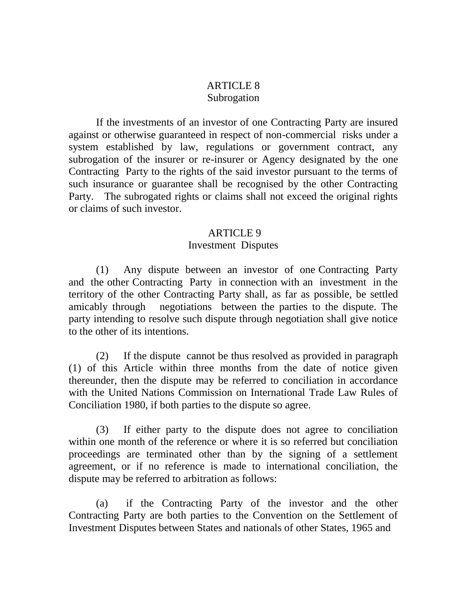## ARTICLE 8 Subrogation

If the investments of an investor of one Contracting Party are insured against or otherwise guaranteed in respect of non-commercial risks under a system established by law, regulations or government contract, any subrogation of the insurer or re-insurer or Agency designated by the one Contracting Party to the rights of the said investor pursuant to the terms of such insurance or guarantee shall be recognised by the other Contracting Party. The subrogated rights or claims shall not exceed the original rights or claims of such investor.

#### ARTICLE 9

### Investment Disputes

(1) Any dispute between an investor of one Contracting Party and the other Contracting Party in connection with an investment in the territory of the other Contracting Party shall, as far as possible, be settled amicably through negotiations between the parties to the dispute. The party intending to resolve such dispute through negotiation shall give notice to the other of its intentions.

(2) If the dispute cannot be thus resolved as provided in paragraph (1) of this Article within three months from the date of notice given thereunder, then the dispute may be referred to conciliation in accordance with the United Nations Commission on International Trade Law Rules of Conciliation 1980, if both parties to the dispute so agree.

(3) If either party to the dispute does not agree to conciliation within one month of the reference or where it is so referred but conciliation proceedings are terminated other than by the signing of a settlement agreement, or if no reference is made to international conciliation, the dispute may be referred to arbitration as follows:

(a) if the Contracting Party of the investor and the other Contracting Party are both parties to the Convention on the Settlement of Investment Disputes between States and nationals of other States, 1965 and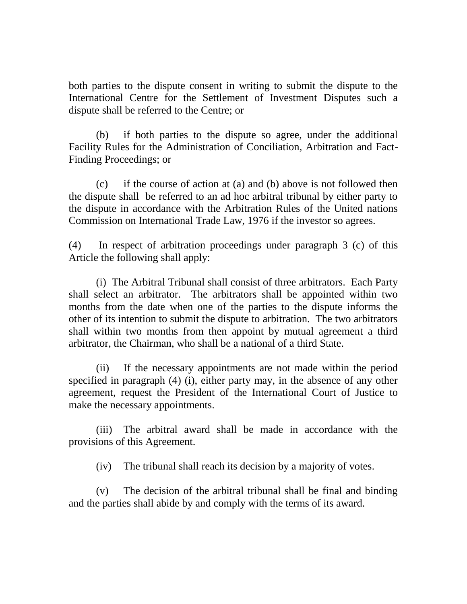both parties to the dispute consent in writing to submit the dispute to the International Centre for the Settlement of Investment Disputes such a dispute shall be referred to the Centre; or

(b) if both parties to the dispute so agree, under the additional Facility Rules for the Administration of Conciliation, Arbitration and Fact-Finding Proceedings; or

(c) if the course of action at (a) and (b) above is not followed then the dispute shall be referred to an ad hoc arbitral tribunal by either party to the dispute in accordance with the Arbitration Rules of the United nations Commission on International Trade Law, 1976 if the investor so agrees.

(4) In respect of arbitration proceedings under paragraph 3 (c) of this Article the following shall apply:

(i) The Arbitral Tribunal shall consist of three arbitrators. Each Party shall select an arbitrator. The arbitrators shall be appointed within two months from the date when one of the parties to the dispute informs the other of its intention to submit the dispute to arbitration. The two arbitrators shall within two months from then appoint by mutual agreement a third arbitrator, the Chairman, who shall be a national of a third State.

(ii) If the necessary appointments are not made within the period specified in paragraph (4) (i), either party may, in the absence of any other agreement, request the President of the International Court of Justice to make the necessary appointments.

(iii) The arbitral award shall be made in accordance with the provisions of this Agreement.

(iv) The tribunal shall reach its decision by a majority of votes.

(v) The decision of the arbitral tribunal shall be final and binding and the parties shall abide by and comply with the terms of its award.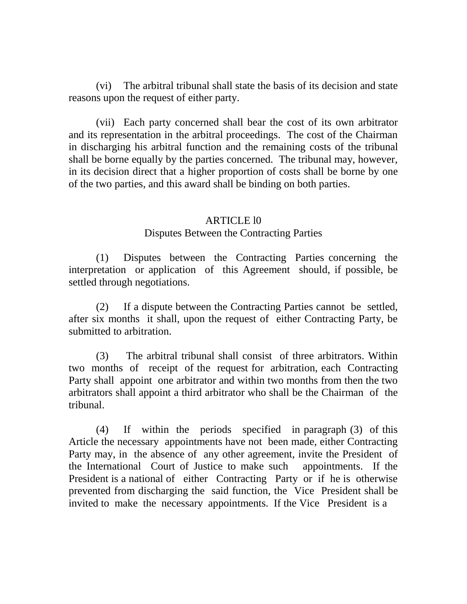(vi) The arbitral tribunal shall state the basis of its decision and state reasons upon the request of either party.

(vii) Each party concerned shall bear the cost of its own arbitrator and its representation in the arbitral proceedings. The cost of the Chairman in discharging his arbitral function and the remaining costs of the tribunal shall be borne equally by the parties concerned. The tribunal may, however, in its decision direct that a higher proportion of costs shall be borne by one of the two parties, and this award shall be binding on both parties.

#### ARTICLE l0

#### Disputes Between the Contracting Parties

(1) Disputes between the Contracting Parties concerning the interpretation or application of this Agreement should, if possible, be settled through negotiations.

(2) If a dispute between the Contracting Parties cannot be settled, after six months it shall, upon the request of either Contracting Party, be submitted to arbitration.

(3) The arbitral tribunal shall consist of three arbitrators. Within two months of receipt of the request for arbitration, each Contracting Party shall appoint one arbitrator and within two months from then the two arbitrators shall appoint a third arbitrator who shall be the Chairman of the tribunal.

(4) If within the periods specified in paragraph (3) of this Article the necessary appointments have not been made, either Contracting Party may, in the absence of any other agreement, invite the President of the International Court of Justice to make such appointments. If the President is a national of either Contracting Party or if he is otherwise prevented from discharging the said function, the Vice President shall be invited to make the necessary appointments. If the Vice President is a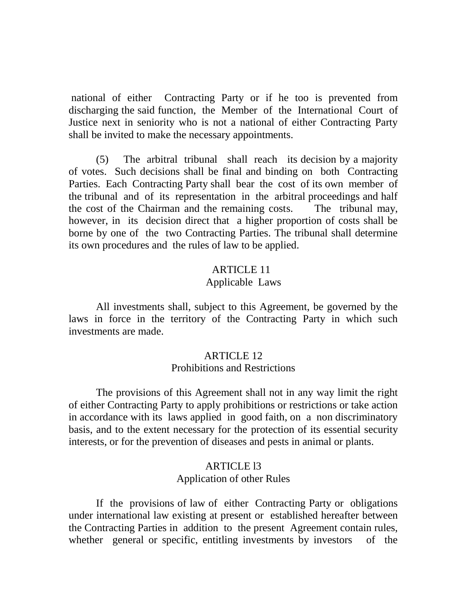national of either Contracting Party or if he too is prevented from discharging the said function, the Member of the International Court of Justice next in seniority who is not a national of either Contracting Party shall be invited to make the necessary appointments.

(5) The arbitral tribunal shall reach its decision by a majority of votes. Such decisions shall be final and binding on both Contracting Parties. Each Contracting Party shall bear the cost of its own member of the tribunal and of its representation in the arbitral proceedings and half the cost of the Chairman and the remaining costs. The tribunal may, however, in its decision direct that a higher proportion of costs shall be borne by one of the two Contracting Parties. The tribunal shall determine its own procedures and the rules of law to be applied.

## ARTICLE 11

#### Applicable Laws

All investments shall, subject to this Agreement, be governed by the laws in force in the territory of the Contracting Party in which such investments are made.

### ARTICLE 12 Prohibitions and Restrictions

The provisions of this Agreement shall not in any way limit the right of either Contracting Party to apply prohibitions or restrictions or take action in accordance with its laws applied in good faith, on a non discriminatory basis, and to the extent necessary for the protection of its essential security interests, or for the prevention of diseases and pests in animal or plants.

#### ARTICLE l3

#### Application of other Rules

If the provisions of law of either Contracting Party or obligations under international law existing at present or established hereafter between the Contracting Parties in addition to the present Agreement contain rules, whether general or specific, entitling investments by investors of the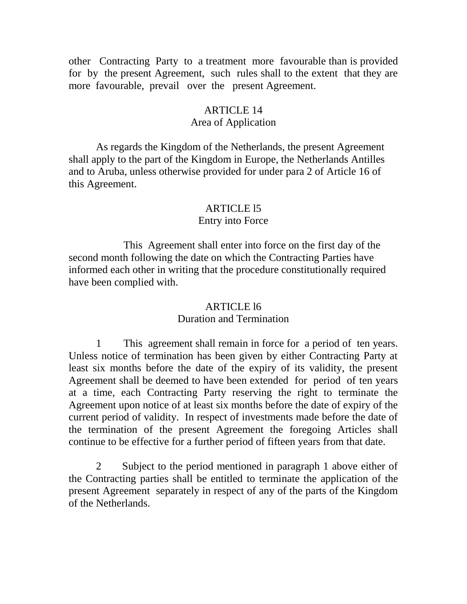other Contracting Party to a treatment more favourable than is provided for by the present Agreement, such rules shall to the extent that they are more favourable, prevail over the present Agreement.

## ARTICLE 14 Area of Application

As regards the Kingdom of the Netherlands, the present Agreement shall apply to the part of the Kingdom in Europe, the Netherlands Antilles and to Aruba, unless otherwise provided for under para 2 of Article 16 of this Agreement.

### ARTICLE l5

### Entry into Force

This Agreement shall enter into force on the first day of the second month following the date on which the Contracting Parties have informed each other in writing that the procedure constitutionally required have been complied with.

#### ARTICLE l6

#### Duration and Termination

1 This agreement shall remain in force for a period of ten years. Unless notice of termination has been given by either Contracting Party at least six months before the date of the expiry of its validity, the present Agreement shall be deemed to have been extended for period of ten years at a time, each Contracting Party reserving the right to terminate the Agreement upon notice of at least six months before the date of expiry of the current period of validity. In respect of investments made before the date of the termination of the present Agreement the foregoing Articles shall continue to be effective for a further period of fifteen years from that date.

2 Subject to the period mentioned in paragraph 1 above either of the Contracting parties shall be entitled to terminate the application of the present Agreement separately in respect of any of the parts of the Kingdom of the Netherlands.